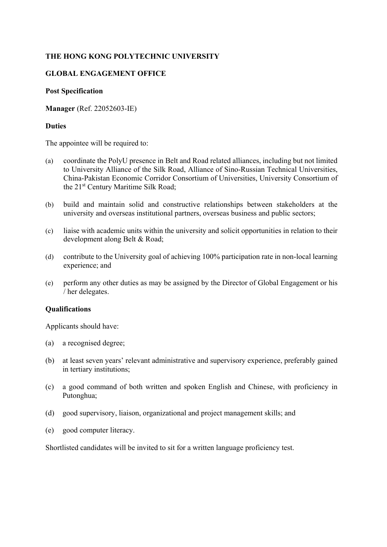# **THE HONG KONG POLYTECHNIC UNIVERSITY**

## **GLOBAL ENGAGEMENT OFFICE**

#### **Post Specification**

**Manager** (Ref. 22052603-IE)

#### **Duties**

The appointee will be required to:

- (a) coordinate the PolyU presence in Belt and Road related alliances, including but not limited to University Alliance of the Silk Road, Alliance of Sino-Russian Technical Universities, China-Pakistan Economic Corridor Consortium of Universities, University Consortium of the 21<sup>st</sup> Century Maritime Silk Road;
- (b) build and maintain solid and constructive relationships between stakeholders at the university and overseas institutional partners, overseas business and public sectors;
- (c) liaise with academic units within the university and solicit opportunities in relation to their development along Belt & Road;
- (d) contribute to the University goal of achieving 100% participation rate in non-local learning experience; and
- (e) perform any other duties as may be assigned by the Director of Global Engagement or his / her delegates.

#### **Qualifications**

Applicants should have:

- (a) a recognised degree;
- (b) at least seven years' relevant administrative and supervisory experience, preferably gained in tertiary institutions;
- (c) a good command of both written and spoken English and Chinese, with proficiency in Putonghua;
- (d) good supervisory, liaison, organizational and project management skills; and
- (e) good computer literacy.

Shortlisted candidates will be invited to sit for a written language proficiency test.